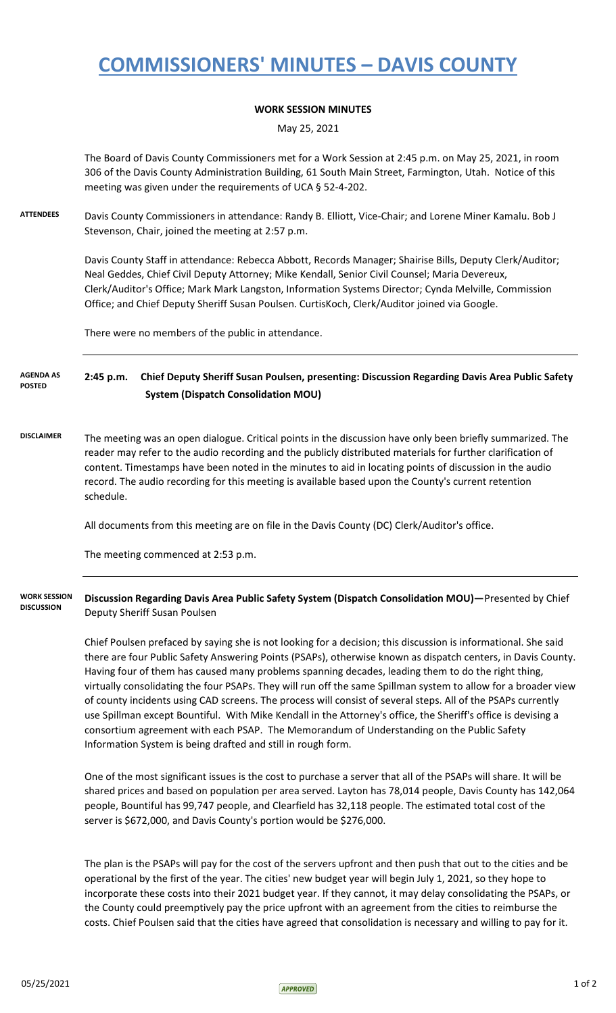## **COMMISSIONERS' MINUTES – DAVIS COUNTY**

## **WORK SESSION MINUTES**

May 25, 2021

The Board of Davis County Commissioners met for a Work Session at 2:45 p.m. on May 25, 2021, in room 306 of the Davis County Administration Building, 61 South Main Street, Farmington, Utah. Notice of this meeting was given under the requirements of UCA § 52-4-202.

**ATTENDEES** Davis County Commissioners in attendance: Randy B. Elliott, Vice-Chair; and Lorene Miner Kamalu. Bob J Stevenson, Chair, joined the meeting at 2:57 p.m.

> Davis County Staff in attendance: Rebecca Abbott, Records Manager; Shairise Bills, Deputy Clerk/Auditor; Neal Geddes, Chief Civil Deputy Attorney; Mike Kendall, Senior Civil Counsel; Maria Devereux, Clerk/Auditor's Office; Mark Mark Langston, Information Systems Director; Cynda Melville, Commission Office; and Chief Deputy Sheriff Susan Poulsen. CurtisKoch, Clerk/Auditor joined via Google.

There were no members of the public in attendance.

**2:45 p.m. Chief Deputy Sheriff Susan Poulsen, presenting: Discussion Regarding Davis Area Public Safety System (Dispatch Consolidation MOU) AGENDA AS POSTED**

**DISCLAIMER** The meeting was an open dialogue. Critical points in the discussion have only been briefly summarized. The reader may refer to the audio recording and the publicly distributed materials for further clarification of content. Timestamps have been noted in the minutes to aid in locating points of discussion in the audio record. The audio recording for this meeting is available based upon the County's current retention schedule.

All documents from this meeting are on file in the Davis County (DC) Clerk/Auditor's office.

The meeting commenced at 2:53 p.m.

## **Discussion Regarding Davis Area Public Safety System (Dispatch Consolidation MOU)—**Presented by Chief Deputy Sheriff Susan Poulsen **WORK SESSION DISCUSSION**

Chief Poulsen prefaced by saying she is not looking for a decision; this discussion is informational. She said there are four Public Safety Answering Points (PSAPs), otherwise known as dispatch centers, in Davis County. Having four of them has caused many problems spanning decades, leading them to do the right thing, virtually consolidating the four PSAPs. They will run off the same Spillman system to allow for a broader view of county incidents using CAD screens. The process will consist of several steps. All of the PSAPs currently use Spillman except Bountiful. With Mike Kendall in the Attorney's office, the Sheriff's office is devising a consortium agreement with each PSAP. The Memorandum of Understanding on the Public Safety Information System is being drafted and still in rough form.

One of the most significant issues is the cost to purchase a server that all of the PSAPs will share. It will be shared prices and based on population per area served. Layton has 78,014 people, Davis County has 142,064 people, Bountiful has 99,747 people, and Clearfield has 32,118 people. The estimated total cost of the server is \$672,000, and Davis County's portion would be \$276,000.

The plan is the PSAPs will pay for the cost of the servers upfront and then push that out to the cities and be operational by the first of the year. The cities' new budget year will begin July 1, 2021, so they hope to incorporate these costs into their 2021 budget year. If they cannot, it may delay consolidating the PSAPs, or the County could preemptively pay the price upfront with an agreement from the cities to reimburse the costs. Chief Poulsen said that the cities have agreed that consolidation is necessary and willing to pay for it.